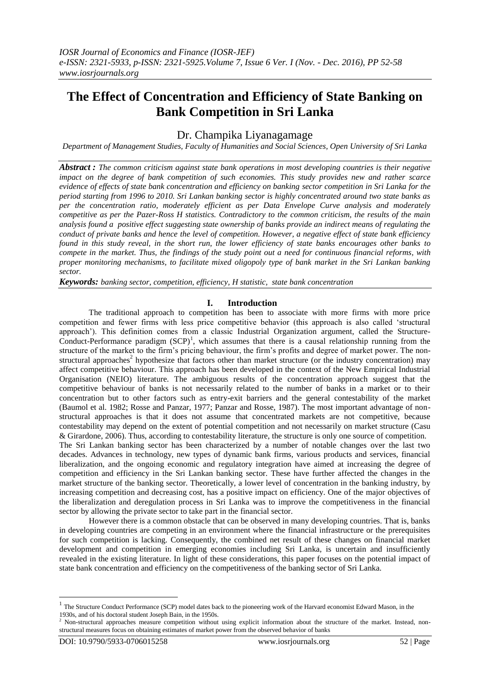# **The Effect of Concentration and Efficiency of State Banking on Bank Competition in Sri Lanka**

Dr. Champika Liyanagamage

*Department of Management Studies, Faculty of Humanities and Social Sciences, Open University of Sri Lanka*

*Abstract : The common criticism against state bank operations in most developing countries is their negative impact on the degree of bank competition of such economies. This study provides new and rather scarce evidence of effects of state bank concentration and efficiency on banking sector competition in Sri Lanka for the period starting from 1996 to 2010. Sri Lankan banking sector is highly concentrated around two state banks as per the concentration ratio, moderately efficient as per Data Envelope Curve analysis and moderately competitive as per the Pazer-Ross H statistics. Contradictory to the common criticism, the results of the main analysis found a positive effect suggesting state ownership of banks provide an indirect means of regulating the conduct of private banks and hence the level of competition. However, a negative effect of state bank efficiency found in this study reveal, in the short run, the lower efficiency of state banks encourages other banks to compete in the market. Thus, the findings of the study point out a need for continuous financial reforms, with proper monitoring mechanisms, to facilitate mixed oligopoly type of bank market in the Sri Lankan banking sector.*

*Keywords: banking sector, competition, efficiency, H statistic, state bank concentration*

## **I. Introduction**

The traditional approach to competition has been to associate with more firms with more price competition and fewer firms with less price competitive behavior (this approach is also called 'structural approach'). This definition comes from a classic Industrial Organization argument, called the Structure-Conduct-Performance paradigm  $(SCP)^1$ , which assumes that there is a causal relationship running from the structure of the market to the firm's pricing behaviour, the firm's profits and degree of market power. The nonstructural approaches<sup>2</sup> hypothesize that factors other than market structure (or the industry concentration) may affect competitive behaviour. This approach has been developed in the context of the New Empirical Industrial Organisation (NEIO) literature. The ambiguous results of the concentration approach suggest that the competitive behaviour of banks is not necessarily related to the number of banks in a market or to their concentration but to other factors such as entry-exit barriers and the general contestability of the market (Baumol et al. 1982; Rosse and Panzar, 1977; Panzar and Rosse, 1987). The most important advantage of nonstructural approaches is that it does not assume that concentrated markets are not competitive, because contestability may depend on the extent of potential competition and not necessarily on market structure (Casu & Girardone, 2006). Thus, according to contestability literature, the structure is only one source of competition. The Sri Lankan banking sector has been characterized by a number of notable changes over the last two decades. Advances in technology, new types of dynamic bank firms, various products and services, financial liberalization, and the ongoing economic and regulatory integration have aimed at increasing the degree of competition and efficiency in the Sri Lankan banking sector. These have further affected the changes in the market structure of the banking sector. Theoretically, a lower level of concentration in the banking industry, by

increasing competition and decreasing cost, has a positive impact on efficiency. One of the major objectives of the liberalization and deregulation process in Sri Lanka was to improve the competitiveness in the financial sector by allowing the private sector to take part in the financial sector.

However there is a common obstacle that can be observed in many developing countries. That is, banks in developing countries are competing in an environment where the financial infrastructure or the prerequisites for such competition is lacking. Consequently, the combined net result of these changes on financial market development and competition in emerging economies including Sri Lanka, is uncertain and insufficiently revealed in the existing literature. In light of these considerations, this paper focuses on the potential impact of state bank concentration and efficiency on the competitiveness of the banking sector of Sri Lanka.

1

<sup>1</sup> The Structure Conduct Performance (SCP) model dates back to the pioneering work of the Harvard economist Edward Mason, in the 1930s, and of his doctoral student Joseph Bain, in the 1950s.

<sup>2</sup> Non-structural approaches measure competition without using explicit information about the structure of the market. Instead, nonstructural measures focus on obtaining estimates of market power from the observed behavior of banks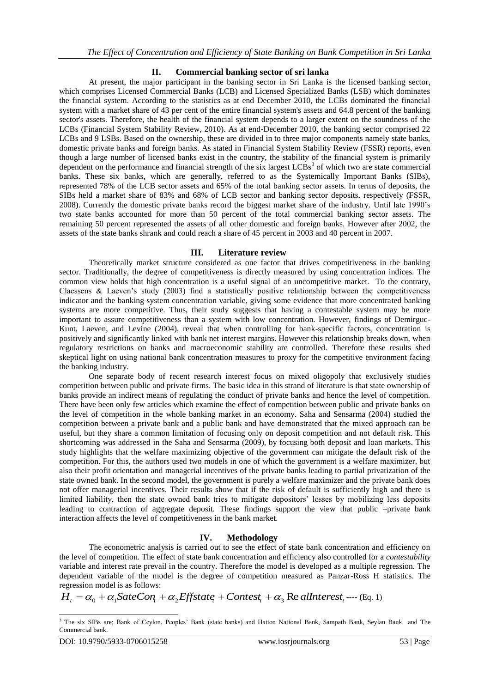# **II. Commercial banking sector of sri lanka**

At present, the major participant in the banking sector in Sri Lanka is the licensed banking sector, which comprises Licensed Commercial Banks (LCB) and Licensed Specialized Banks (LSB) which dominates the financial system. According to the statistics as at end December 2010, the LCBs dominated the financial system with a market share of 43 per cent of the entire financial system's assets and 64.8 percent of the banking sector's assets. Therefore, the health of the financial system depends to a larger extent on the soundness of the LCBs (Financial System Stability Review, 2010). As at end-December 2010, the banking sector comprised 22 LCBs and 9 LSBs. Based on the ownership, these are divided in to three major components namely state banks, domestic private banks and foreign banks. As stated in Financial System Stability Review (FSSR) reports, even though a large number of licensed banks exist in the country, the stability of the financial system is primarily dependent on the performance and financial strength of the six largest  $LCBs<sup>3</sup>$  of which two are state commercial banks. These six banks, which are generally, referred to as the Systemically Important Banks (SIBs), represented 78% of the LCB sector assets and 65% of the total banking sector assets. In terms of deposits, the SIBs held a market share of 83% and 68% of LCB sector and banking sector deposits, respectively (FSSR, 2008). Currently the domestic private banks record the biggest market share of the industry. Until late 1990's two state banks accounted for more than 50 percent of the total commercial banking sector assets. The remaining 50 percent represented the assets of all other domestic and foreign banks. However after 2002, the assets of the state banks shrank and could reach a share of 45 percent in 2003 and 40 percent in 2007.

## **III. Literature review**

Theoretically market structure considered as one factor that drives competitiveness in the banking sector. Traditionally, the degree of competitiveness is directly measured by using concentration indices. The common view holds that high concentration is a useful signal of an uncompetitive market. To the contrary, Claessens & Laeven's study (2003) find a statistically positive relationship between the competitiveness indicator and the banking system concentration variable, giving some evidence that more concentrated banking systems are more competitive. Thus, their study suggests that having a contestable system may be more important to assure competitiveness than a system with low concentration. However, findings of Demirguc-Kunt, Laeven, and Levine (2004), reveal that when controlling for bank-specific factors, concentration is positively and significantly linked with bank net interest margins. However this relationship breaks down, when regulatory restrictions on banks and macroeconomic stability are controlled. Therefore these results shed skeptical light on using national bank concentration measures to proxy for the competitive environment facing the banking industry.

One separate body of recent research interest focus on mixed oligopoly that exclusively studies competition between public and private firms. The basic idea in this strand of literature is that state ownership of banks provide an indirect means of regulating the conduct of private banks and hence the level of competition. There have been only few articles which examine the effect of competition between public and private banks on the level of competition in the whole banking market in an economy. Saha and Sensarma (2004) studied the competition between a private bank and a public bank and have demonstrated that the mixed approach can be useful, but they share a common limitation of focusing only on deposit competition and not default risk. This shortcoming was addressed in the Saha and Sensarma (2009), by focusing both deposit and loan markets. This study highlights that the welfare maximizing objective of the government can mitigate the default risk of the competition. For this, the authors used two models in one of which the government is a welfare maximizer, but also their profit orientation and managerial incentives of the private banks leading to partial privatization of the state owned bank. In the second model, the government is purely a welfare maximizer and the private bank does not offer managerial incentives. Their results show that if the risk of default is sufficiently high and there is limited liability, then the state owned bank tries to mitigate depositors' losses by mobilizing less deposits leading to contraction of aggregate deposit. These findings support the view that public –private bank interaction affects the level of competitiveness in the bank market.

# **IV. Methodology**

The econometric analysis is carried out to see the effect of state bank concentration and efficiency on the level of competition. The effect of state bank concentration and efficiency also controlled for a *contestability* variable and interest rate prevail in the country. Therefore the model is developed as a multiple regression. The dependent variable of the model is the degree of competition measured as Panzar-Ross H statistics. The regression model is as follows:

$$
H_t = \alpha_0 + \alpha_1 \text{StateCon}_t + \alpha_2 \text{Effstate}_t + \text{Context}_t + \alpha_3 \text{ Re all } \text{interest}_t \text{---} (\text{Eq. 1})
$$

<sup>1</sup> <sup>3</sup> The six SIBs are; Bank of Ceylon, Peoples' Bank (state banks) and Hatton National Bank, Sampath Bank, Seylan Bank and The Commercial bank.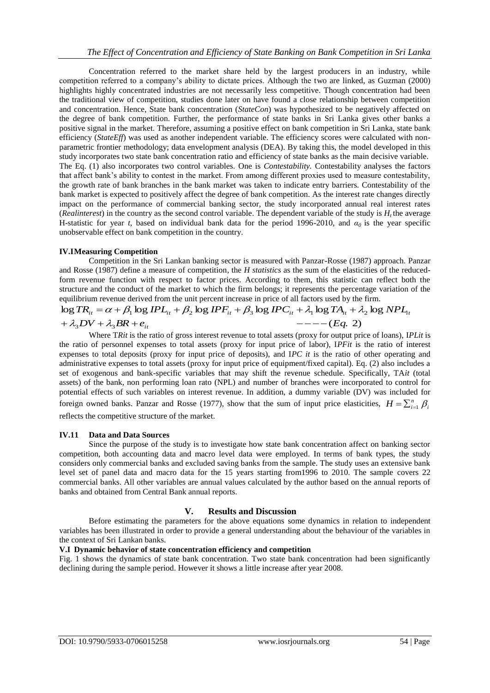Concentration referred to the market share held by the largest producers in an industry, while competition referred to a company's ability to dictate prices. Although the two are linked, as Guzman (2000) highlights highly concentrated industries are not necessarily less competitive. Though concentration had been the traditional view of competition, studies done later on have found a close relationship between competition and concentration. Hence, State bank concentration (*StateCon*) was hypothesized to be negatively affected on the degree of bank competition. Further, the performance of state banks in Sri Lanka gives other banks a positive signal in the market. Therefore, assuming a positive effect on bank competition in Sri Lanka, state bank efficiency (*StateEff*) was used as another independent variable. The efficiency scores were calculated with nonparametric frontier methodology; data envelopment analysis (DEA). By taking this, the model developed in this study incorporates two state bank concentration ratio and efficiency of state banks as the main decisive variable. The Eq. (1) also incorporates two control variables. One is *Contestability.* Contestability analyses the factors that affect bank's ability to contest in the market. From among different proxies used to measure contestability, the growth rate of bank branches in the bank market was taken to indicate entry barriers. Contestability of the bank market is expected to positively affect the degree of bank competition. As the interest rate changes directly impact on the performance of commercial banking sector, the study incorporated annual real interest rates  $(Redinterest)$  in the country as the second control variable. The dependent variable of the study is  $H<sub>t</sub>$  the average H-statistic for year *t*, based on individual bank data for the period 1996-2010, and *α<sup>0</sup>* is the year specific unobservable effect on bank competition in the country.

#### **IV.IMeasuring Competition**

Competition in the Sri Lankan banking sector is measured with Panzar-Rosse (1987) approach. Panzar and Rosse (1987) define a measure of competition, the *H statistics* as the sum of the elasticities of the reducedform revenue function with respect to factor prices. According to them, this statistic can reflect both the structure and the conduct of the market to which the firm belongs; it represents the percentage variation of the equilibrium revenue derived from the unit percent increase in price of all factors used by the firm.

#### $---(Eq. 2)$  $\log TR_{it} = \alpha + \beta_1 \log IPL_{it} + \beta_2 \log IPF_{it} + \beta_3 \log IPC_{it} + \lambda_1 \log TA_{it} + \lambda_2 \log NPL_{it}$  $+ \lambda_3 DV + \lambda_3 BR + e_{it}$   $---(Eq$  $\sum_{it}$ and the conduct of the market to which the firm belongs; it represents the percentage variation<br>*im* revenue derived from the unit percent increase in price of all factors used by the firm.<br> $\vec{r}_{it} = \alpha + \beta_1 \log IPL_{it} + \beta_2 \log IP$  $=\alpha + \beta_1 \log IPL_{it} + \beta_2 \log IPF_{it} + \beta_3 \log IPC_{it} + \lambda_1 \log TA_{it} + \lambda_2$

Where T*Rit* is the ratio of gross interest revenue to total assets (proxy for output price of loans), I*PLit* is the ratio of personnel expenses to total assets (proxy for input price of labor), I*PFit* is the ratio of interest expenses to total deposits (proxy for input price of deposits), and I*PC it* is the ratio of other operating and administrative expenses to total assets (proxy for input price of equipment/fixed capital). Eq. (2) also includes a set of exogenous and bank-specific variables that may shift the revenue schedule. Specifically, TA*it* (total assets) of the bank, non performing loan rato (NPL) and number of branches were incorporated to control for potential effects of such variables on interest revenue. In addition, a dummy variable (DV) was included for foreign owned banks. Panzar and Rosse (1977), show that the sum of input price elasticities,  $H = \sum_{i=1}^{n} \beta_i$ 

reflects the competitive structure of the market.

## **IV.11 Data and Data Sources**

Since the purpose of the study is to investigate how state bank concentration affect on banking sector competition, both accounting data and macro level data were employed. In terms of bank types, the study considers only commercial banks and excluded saving banks from the sample. The study uses an extensive bank level set of panel data and macro data for the 15 years starting from1996 to 2010. The sample covers 22 commercial banks. All other variables are annual values calculated by the author based on the annual reports of banks and obtained from Central Bank annual reports.

## **V. Results and Discussion**

Before estimating the parameters for the above equations some dynamics in relation to independent variables has been illustrated in order to provide a general understanding about the behaviour of the variables in the context of Sri Lankan banks.

#### **V.I Dynamic behavior of state concentration efficiency and competition**

Fig. 1 shows the dynamics of state bank concentration. Two state bank concentration had been significantly declining during the sample period. However it shows a little increase after year 2008.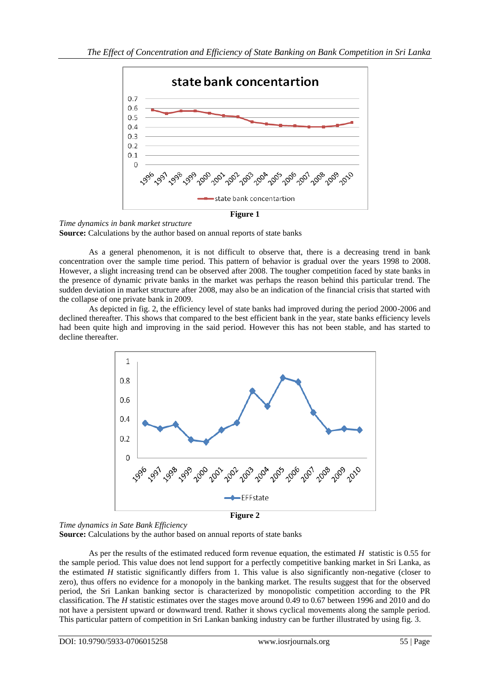

*Time dynamics in bank market structure* **Source:** Calculations by the author based on annual reports of state banks

As a general phenomenon, it is not difficult to observe that, there is a decreasing trend in bank concentration over the sample time period. This pattern of behavior is gradual over the years 1998 to 2008. However, a slight increasing trend can be observed after 2008. The tougher competition faced by state banks in the presence of dynamic private banks in the market was perhaps the reason behind this particular trend. The sudden deviation in market structure after 2008, may also be an indication of the financial crisis that started with the collapse of one private bank in 2009.

As depicted in fig. 2, the efficiency level of state banks had improved during the period 2000-2006 and declined thereafter. This shows that compared to the best efficient bank in the year, state banks efficiency levels had been quite high and improving in the said period. However this has not been stable, and has started to decline thereafter.



*Time dynamics in Sate Bank Efficiency*

**Source:** Calculations by the author based on annual reports of state banks

As per the results of the estimated reduced form revenue equation, the estimated *H* statistic is 0.55 for the sample period. This value does not lend support for a perfectly competitive banking market in Sri Lanka, as the estimated *H* statistic significantly differs from 1. This value is also significantly non-negative (closer to zero), thus offers no evidence for a monopoly in the banking market. The results suggest that for the observed period, the Sri Lankan banking sector is characterized by monopolistic competition according to the PR classification. The *H* statistic estimates over the stages move around 0.49 to 0.67 between 1996 and 2010 and do not have a persistent upward or downward trend. Rather it shows cyclical movements along the sample period. This particular pattern of competition in Sri Lankan banking industry can be further illustrated by using fig. 3.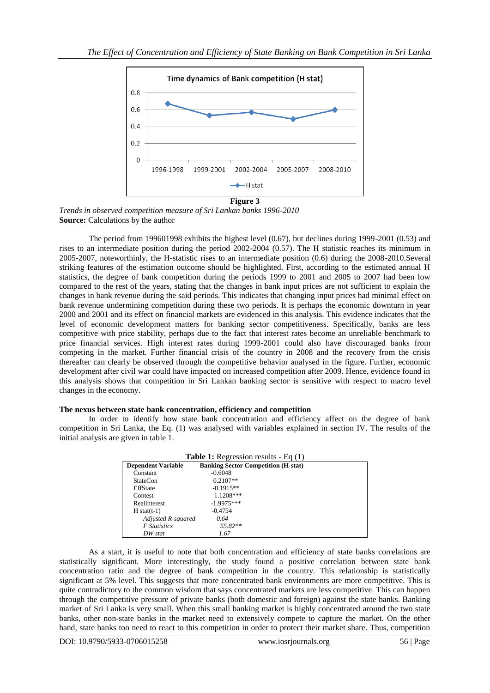

*Trends in observed competition measure of Sri Lankan banks 1996-2010* **Source:** Calculations by the author

The period from 199601998 exhibits the highest level (0.67), but declines during 1999-2001 (0.53) and rises to an intermediate position during the period 2002-2004 (0.57). The H statistic reaches its minimum in 2005-2007, noteworthinly, the H-statistic rises to an intermediate position (0.6) during the 2008-2010.Several striking features of the estimation outcome should be highlighted. First, according to the estimated annual H statistics, the degree of bank competition during the periods 1999 to 2001 and 2005 to 2007 had been low compared to the rest of the years, stating that the changes in bank input prices are not sufficient to explain the changes in bank revenue during the said periods. This indicates that changing input prices had minimal effect on bank revenue undermining competition during these two periods. It is perhaps the economic downturn in year 2000 and 2001 and its effect on financial markets are evidenced in this analysis. This evidence indicates that the level of economic development matters for banking sector competitiveness. Specifically, banks are less competitive with price stability, perhaps due to the fact that interest rates become an unreliable benchmark to price financial services. High interest rates during 1999-2001 could also have discouraged banks from competing in the market. Further financial crisis of the country in 2008 and the recovery from the crisis thereafter can clearly be observed through the competitive behavior analysed in the figure. Further, economic development after civil war could have impacted on increased competition after 2009. Hence, evidence found in this analysis shows that competition in Sri Lankan banking sector is sensitive with respect to macro level changes in the economy.

# **The nexus between state bank concentration, efficiency and competition**

In order to identify how state bank concentration and efficiency affect on the degree of bank competition in Sri Lanka, the Eq. (1) was analysed with variables explained in section IV. The results of the initial analysis are given in table 1.

| <b>Table 1:</b> Regression results - Eq. $(1)$ |                                            |
|------------------------------------------------|--------------------------------------------|
| <b>Dependent Variable</b>                      | <b>Banking Sector Competition (H-stat)</b> |
| Constant                                       | $-0.6048$                                  |
| <b>StateCon</b>                                | $0.2107**$                                 |
| EffState                                       | $-0.1915**$                                |
| Contest                                        | $1.1208***$                                |
| Realinterest                                   | $-1.9975***$                               |
| $H$ stat(t-1)                                  | $-0.4754$                                  |
| Adjusted R-squared                             | 0.64                                       |
| <b>F</b> Statistics                            | $55.82**$                                  |
| DW stat                                        | 1.67                                       |

As a start, it is useful to note that both concentration and efficiency of state banks correlations are statistically significant. More interestingly, the study found a positive correlation between state bank concentration ratio and the degree of bank competition in the country. This relationship is statistically significant at 5% level. This suggests that more concentrated bank environments are more competitive. This is quite contradictory to the common wisdom that says concentrated markets are less competitive. This can happen through the competitive pressure of private banks (both domestic and foreign) against the state banks. Banking market of Sri Lanka is very small. When this small banking market is highly concentrated around the two state banks, other non-state banks in the market need to extensively compete to capture the market. On the other hand, state banks too need to react to this competition in order to protect their market share. Thus, competition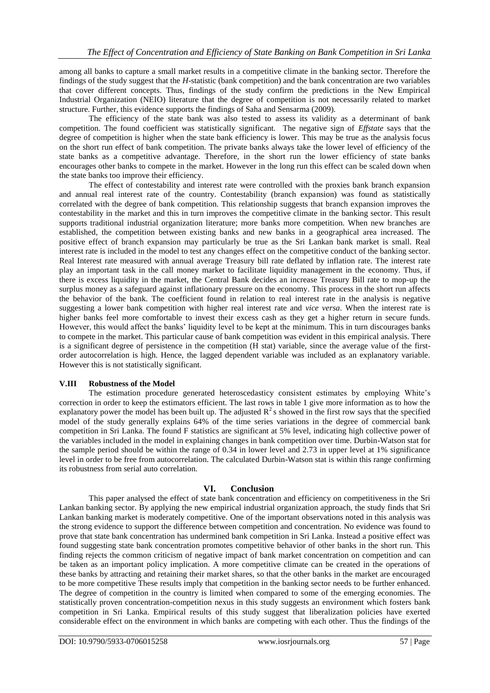among all banks to capture a small market results in a competitive climate in the banking sector. Therefore the findings of the study suggest that the *H*-statistic (bank competition) and the bank concentration are two variables that cover different concepts. Thus, findings of the study confirm the predictions in the New Empirical Industrial Organization (NEIO) literature that the degree of competition is not necessarily related to market structure. Further, this evidence supports the findings of Saha and Sensarma (2009).

The efficiency of the state bank was also tested to assess its validity as a determinant of bank competition. The found coefficient was statistically significant. The negative sign of *Effstate* says that the degree of competition is higher when the state bank efficiency is lower. This may be true as the analysis focus on the short run effect of bank competition. The private banks always take the lower level of efficiency of the state banks as a competitive advantage. Therefore, in the short run the lower efficiency of state banks encourages other banks to compete in the market. However in the long run this effect can be scaled down when the state banks too improve their efficiency.

The effect of contestability and interest rate were controlled with the proxies bank branch expansion and annual real interest rate of the country. Contestability (branch expansion) was found as statistically correlated with the degree of bank competition. This relationship suggests that branch expansion improves the contestability in the market and this in turn improves the competitive climate in the banking sector. This result supports traditional industrial organization literature; more banks more competition. When new branches are established, the competition between existing banks and new banks in a geographical area increased. The positive effect of branch expansion may particularly be true as the Sri Lankan bank market is small. Real interest rate is included in the model to test any changes effect on the competitive conduct of the banking sector. Real Interest rate measured with annual average Treasury bill rate deflated by inflation rate. The interest rate play an important task in the call money market to facilitate liquidity management in the economy. Thus, if there is excess liquidity in the market, the Central Bank decides an increase Treasury Bill rate to mop-up the surplus money as a safeguard against inflationary pressure on the economy. This process in the short run affects the behavior of the bank. The coefficient found in relation to real interest rate in the analysis is negative suggesting a lower bank competition with higher real interest rate and *vice versa*. When the interest rate is higher banks feel more comfortable to invest their excess cash as they get a higher return in secure funds. However, this would affect the banks' liquidity level to be kept at the minimum. This in turn discourages banks to compete in the market. This particular cause of bank competition was evident in this empirical analysis. There is a significant degree of persistence in the competition (H stat) variable, since the average value of the firstorder autocorrelation is high. Hence, the lagged dependent variable was included as an explanatory variable. However this is not statistically significant.

# **V.III Robustness of the Model**

The estimation procedure generated heteroscedasticy consistent estimates by employing White's correction in order to keep the estimators efficient. The last rows in table 1 give more information as to how the explanatory power the model has been built up. The adjusted  $R^2$ s showed in the first row says that the specified model of the study generally explains 64% of the time series variations in the degree of commercial bank competition in Sri Lanka. The found F statistics are significant at 5% level, indicating high collective power of the variables included in the model in explaining changes in bank competition over time. Durbin-Watson stat for the sample period should be within the range of 0.34 in lower level and 2.73 in upper level at 1% significance level in order to be free from autocorrelation. The calculated Durbin-Watson stat is within this range confirming its robustness from serial auto correlation.

# **VI. Conclusion**

This paper analysed the effect of state bank concentration and efficiency on competitiveness in the Sri Lankan banking sector. By applying the new empirical industrial organization approach, the study finds that Sri Lankan banking market is moderately competitive. One of the important observations noted in this analysis was the strong evidence to support the difference between competition and concentration. No evidence was found to prove that state bank concentration has undermined bank competition in Sri Lanka. Instead a positive effect was found suggesting state bank concentration promotes competitive behavior of other banks in the short run. This finding rejects the common criticism of negative impact of bank market concentration on competition and can be taken as an important policy implication. A more competitive climate can be created in the operations of these banks by attracting and retaining their market shares, so that the other banks in the market are encouraged to be more competitive These results imply that competition in the banking sector needs to be further enhanced. The degree of competition in the country is limited when compared to some of the emerging economies. The statistically proven concentration-competition nexus in this study suggests an environment which fosters bank competition in Sri Lanka. Empirical results of this study suggest that liberalization policies have exerted considerable effect on the environment in which banks are competing with each other. Thus the findings of the